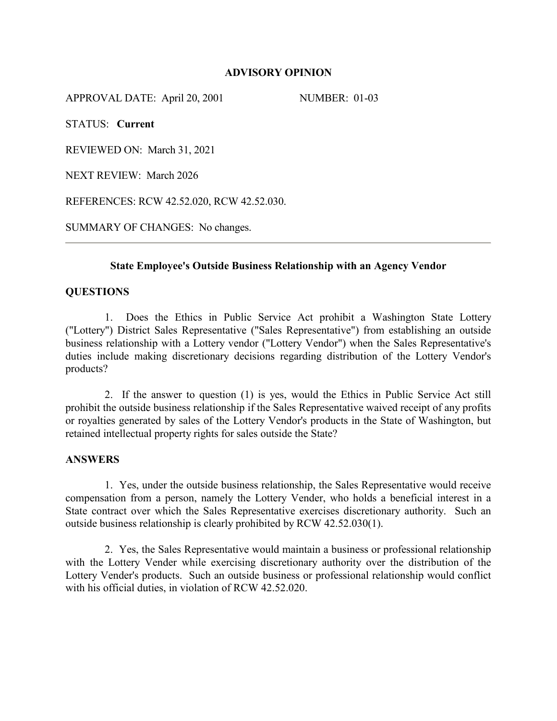# **ADVISORY OPINION**

APPROVAL DATE: April 20, 2001 NUMBER: 01-03

STATUS: **Current**

REVIEWED ON: March 31, 2021

NEXT REVIEW: March 2026

REFERENCES: RCW 42.52.020, RCW 42.52.030.

SUMMARY OF CHANGES: No changes.

# **State Employee's Outside Business Relationship with an Agency Vendor**

# **QUESTIONS**

1. Does the Ethics in Public Service Act prohibit a Washington State Lottery ("Lottery") District Sales Representative ("Sales Representative") from establishing an outside business relationship with a Lottery vendor ("Lottery Vendor") when the Sales Representative's duties include making discretionary decisions regarding distribution of the Lottery Vendor's products?

2. If the answer to question (1) is yes, would the Ethics in Public Service Act still prohibit the outside business relationship if the Sales Representative waived receipt of any profits or royalties generated by sales of the Lottery Vendor's products in the State of Washington, but retained intellectual property rights for sales outside the State?

#### **ANSWERS**

1. Yes, under the outside business relationship, the Sales Representative would receive compensation from a person, namely the Lottery Vender, who holds a beneficial interest in a State contract over which the Sales Representative exercises discretionary authority. Such an outside business relationship is clearly prohibited by RCW 42.52.030(1).

2. Yes, the Sales Representative would maintain a business or professional relationship with the Lottery Vender while exercising discretionary authority over the distribution of the Lottery Vender's products. Such an outside business or professional relationship would conflict with his official duties, in violation of RCW 42.52.020.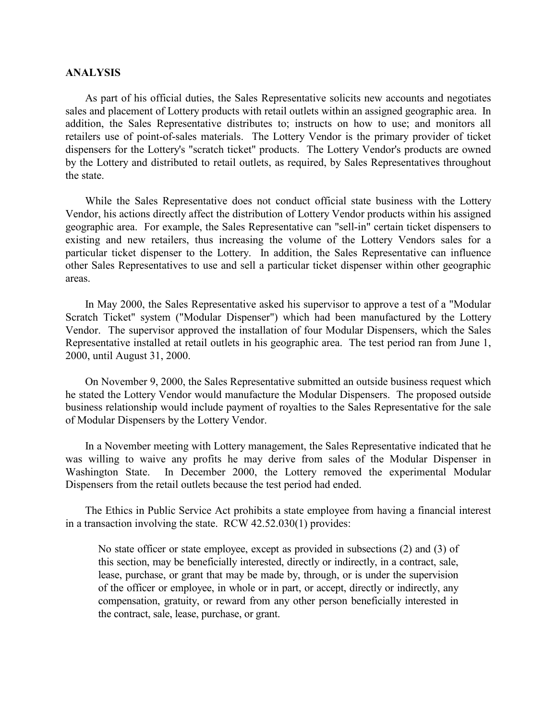#### **ANALYSIS**

As part of his official duties, the Sales Representative solicits new accounts and negotiates sales and placement of Lottery products with retail outlets within an assigned geographic area. In addition, the Sales Representative distributes to; instructs on how to use; and monitors all retailers use of point-of-sales materials. The Lottery Vendor is the primary provider of ticket dispensers for the Lottery's "scratch ticket" products. The Lottery Vendor's products are owned by the Lottery and distributed to retail outlets, as required, by Sales Representatives throughout the state.

While the Sales Representative does not conduct official state business with the Lottery Vendor, his actions directly affect the distribution of Lottery Vendor products within his assigned geographic area. For example, the Sales Representative can "sell-in" certain ticket dispensers to existing and new retailers, thus increasing the volume of the Lottery Vendors sales for a particular ticket dispenser to the Lottery. In addition, the Sales Representative can influence other Sales Representatives to use and sell a particular ticket dispenser within other geographic areas.

In May 2000, the Sales Representative asked his supervisor to approve a test of a "Modular Scratch Ticket" system ("Modular Dispenser") which had been manufactured by the Lottery Vendor. The supervisor approved the installation of four Modular Dispensers, which the Sales Representative installed at retail outlets in his geographic area. The test period ran from June 1, 2000, until August 31, 2000.

On November 9, 2000, the Sales Representative submitted an outside business request which he stated the Lottery Vendor would manufacture the Modular Dispensers. The proposed outside business relationship would include payment of royalties to the Sales Representative for the sale of Modular Dispensers by the Lottery Vendor.

In a November meeting with Lottery management, the Sales Representative indicated that he was willing to waive any profits he may derive from sales of the Modular Dispenser in Washington State. In December 2000, the Lottery removed the experimental Modular Dispensers from the retail outlets because the test period had ended.

The Ethics in Public Service Act prohibits a state employee from having a financial interest in a transaction involving the state. RCW 42.52.030(1) provides:

No state officer or state employee, except as provided in subsections (2) and (3) of this section, may be beneficially interested, directly or indirectly, in a contract, sale, lease, purchase, or grant that may be made by, through, or is under the supervision of the officer or employee, in whole or in part, or accept, directly or indirectly, any compensation, gratuity, or reward from any other person beneficially interested in the contract, sale, lease, purchase, or grant.